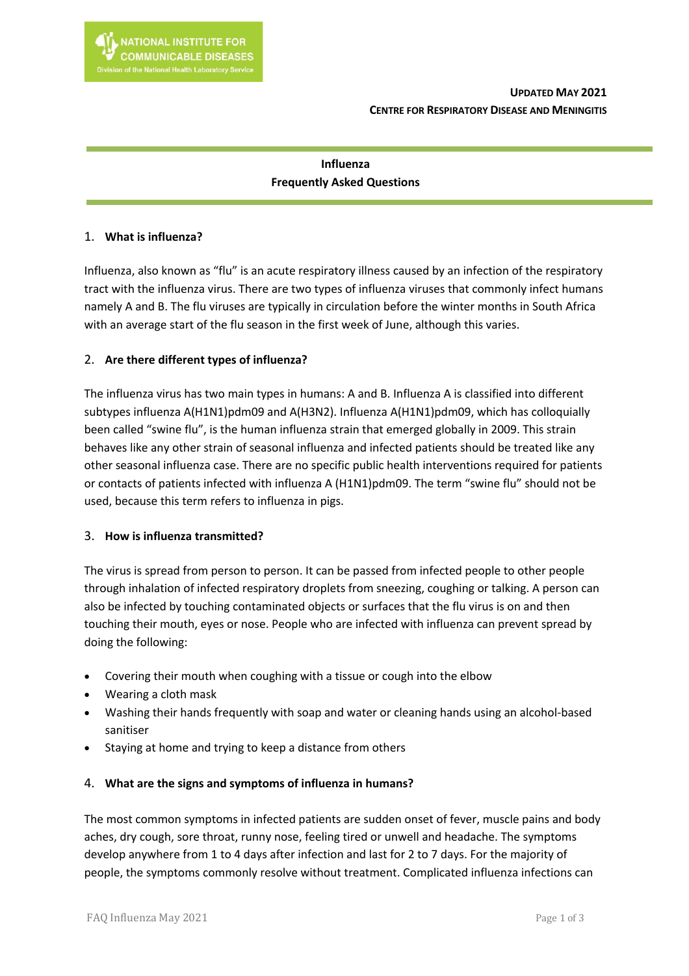# **Influenza Frequently Asked Questions**

## 1. **What is influenza?**

Influenza, also known as "flu" is an acute respiratory illness caused by an infection of the respiratory tract with the influenza virus. There are two types of influenza viruses that commonly infect humans namely A and B. The flu viruses are typically in circulation before the winter months in South Africa with an average start of the flu season in the first week of June, although this varies.

## 2. **Are there different types of influenza?**

The influenza virus has two main types in humans: A and B. Influenza A is classified into different subtypes influenza A(H1N1)pdm09 and A(H3N2). Influenza A(H1N1)pdm09, which has colloquially been called "swine flu", is the human influenza strain that emerged globally in 2009. This strain behaves like any other strain of seasonal influenza and infected patients should be treated like any other seasonal influenza case. There are no specific public health interventions required for patients or contacts of patients infected with influenza A (H1N1)pdm09. The term "swine flu" should not be used, because this term refers to influenza in pigs.

### 3. **How is influenza transmitted?**

The virus is spread from person to person. It can be passed from infected people to other people through inhalation of infected respiratory droplets from sneezing, coughing or talking. A person can also be infected by touching contaminated objects or surfaces that the flu virus is on and then touching their mouth, eyes or nose. People who are infected with influenza can prevent spread by doing the following:

- Covering their mouth when coughing with a tissue or cough into the elbow
- Wearing a cloth mask
- Washing their hands frequently with soap and water or cleaning hands using an alcohol-based sanitiser
- Staying at home and trying to keep a distance from others

## 4. **What are the signs and symptoms of influenza in humans?**

The most common symptoms in infected patients are sudden onset of fever, muscle pains and body aches, dry cough, sore throat, runny nose, feeling tired or unwell and headache. The symptoms develop anywhere from 1 to 4 days after infection and last for 2 to 7 days. For the majority of people, the symptoms commonly resolve without treatment. Complicated influenza infections can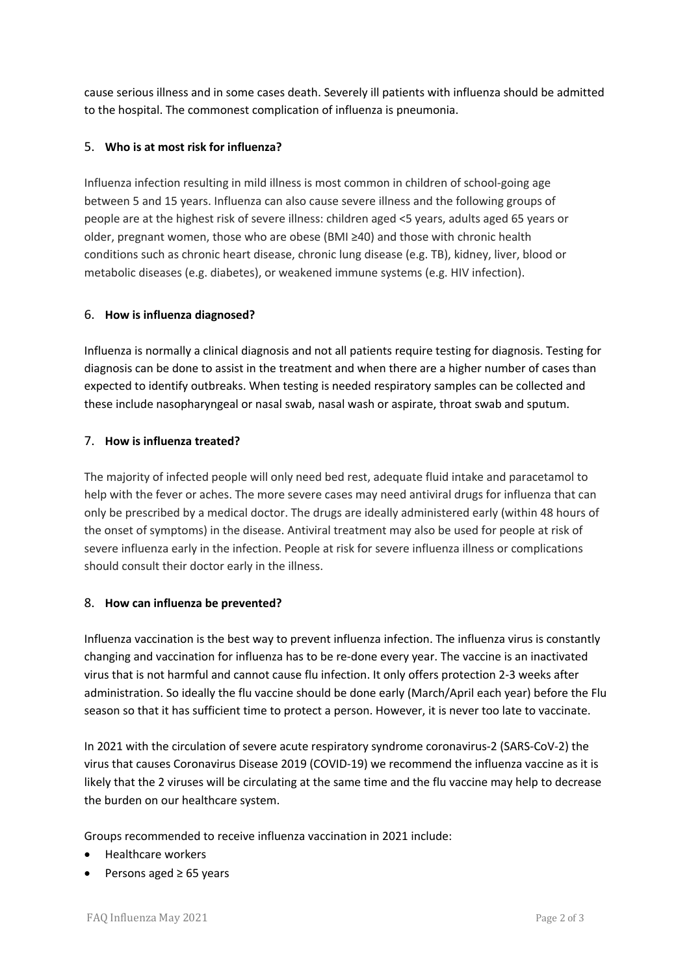cause serious illness and in some cases death. Severely ill patients with influenza should be admitted to the hospital. The commonest complication of influenza is pneumonia.

## 5. **Who is at most risk for influenza?**

Influenza infection resulting in mild illness is most common in children of school-going age between 5 and 15 years. Influenza can also cause severe illness and the following groups of people are at the highest risk of severe illness: children aged <5 years, adults aged 65 years or older, pregnant women, those who are obese (BMI ≥40) and those with chronic health conditions such as chronic heart disease, chronic lung disease (e.g. TB), kidney, liver, blood or metabolic diseases (e.g. diabetes), or weakened immune systems (e.g. HIV infection).

## 6. **How is influenza diagnosed?**

Influenza is normally a clinical diagnosis and not all patients require testing for diagnosis. Testing for diagnosis can be done to assist in the treatment and when there are a higher number of cases than expected to identify outbreaks. When testing is needed respiratory samples can be collected and these include nasopharyngeal or nasal swab, nasal wash or aspirate, throat swab and sputum.

## 7. **How is influenza treated?**

The majority of infected people will only need bed rest, adequate fluid intake and paracetamol to help with the fever or aches. The more severe cases may need antiviral drugs for influenza that can only be prescribed by a medical doctor. The drugs are ideally administered early (within 48 hours of the onset of symptoms) in the disease. Antiviral treatment may also be used for people at risk of severe influenza early in the infection. People at risk for severe influenza illness or complications should consult their doctor early in the illness.

### 8. **How can influenza be prevented?**

Influenza vaccination is the best way to prevent influenza infection. The influenza virus is constantly changing and vaccination for influenza has to be re-done every year. The vaccine is an inactivated virus that is not harmful and cannot cause flu infection. It only offers protection 2-3 weeks after administration. So ideally the flu vaccine should be done early (March/April each year) before the Flu season so that it has sufficient time to protect a person. However, it is never too late to vaccinate.

In 2021 with the circulation of severe acute respiratory syndrome coronavirus-2 (SARS-CoV-2) the virus that causes Coronavirus Disease 2019 (COVID-19) we recommend the influenza vaccine as it is likely that the 2 viruses will be circulating at the same time and the flu vaccine may help to decrease the burden on our healthcare system.

Groups recommended to receive influenza vaccination in 2021 include:

- Healthcare workers
- Persons aged ≥ 65 years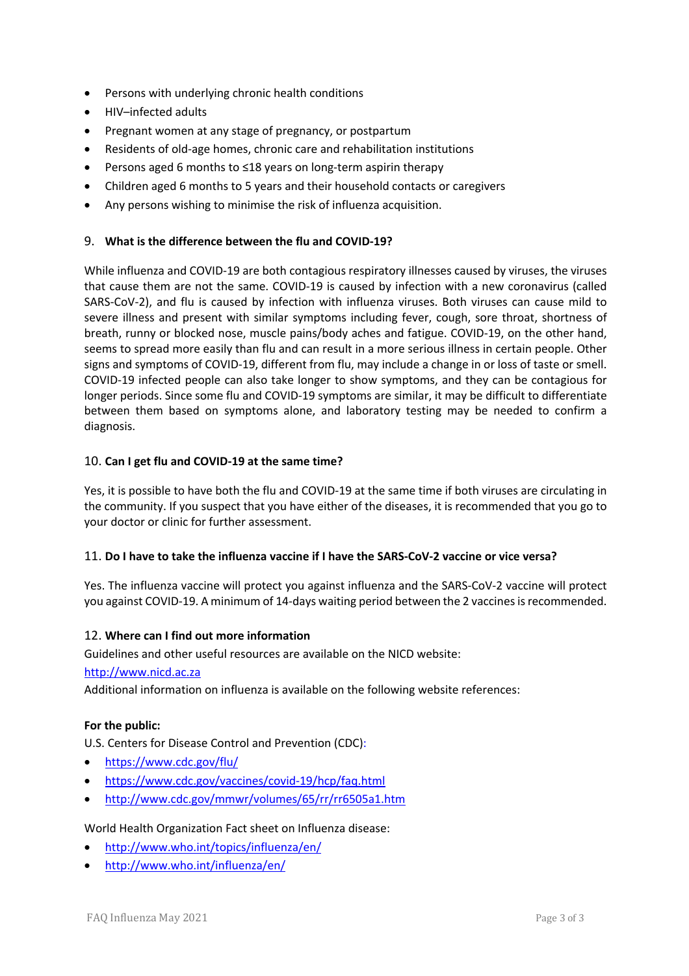- Persons with underlying chronic health conditions
- HIV–infected adults
- Pregnant women at any stage of pregnancy, or postpartum
- Residents of old-age homes, chronic care and rehabilitation institutions
- Persons aged 6 months to ≤18 years on long-term aspirin therapy
- Children aged 6 months to 5 years and their household contacts or caregivers
- Any persons wishing to minimise the risk of influenza acquisition.

### 9. **What is the difference between the flu and COVID-19?**

While influenza and COVID-19 are both contagious respiratory illnesses caused by viruses, the viruses that cause them are not the same. COVID-19 is caused by infection with a new coronavirus (called SARS-CoV-2), and flu is caused by infection with influenza viruses. Both viruses can cause mild to severe illness and present with similar symptoms including fever, cough, sore throat, shortness of breath, runny or blocked nose, muscle pains/body aches and fatigue. COVID-19, on the other hand, seems to spread more easily than flu and can result in a more serious illness in certain people. Other signs and symptoms of COVID-19, different from flu, may include a change in or loss of taste or smell. COVID-19 infected people can also take longer to show symptoms, and they can be contagious for longer periods. Since some flu and COVID-19 symptoms are similar, it may be difficult to differentiate between them based on symptoms alone, and laboratory testing may be needed to confirm a diagnosis.

### 10. **Can I get flu and COVID-19 at the same time?**

Yes, it is possible to have both the flu and COVID-19 at the same time if both viruses are circulating in the community. If you suspect that you have either of the diseases, it is recommended that you go to your doctor or clinic for further assessment.

### 11. **Do I have to take the influenza vaccine if I have the SARS-CoV-2 vaccine or vice versa?**

Yes. The influenza vaccine will protect you against influenza and the SARS-CoV-2 vaccine will protect you against COVID-19. A minimum of 14-days waiting period between the 2 vaccines is recommended.

### 12. **Where can I find out more information**

Guidelines and other useful resources are available on the NICD website:

#### http://www.nicd.ac.za

Additional information on influenza is available on the following website references:

### **For the public:**

U.S. Centers for Disease Control and Prevention (CDC):

- https://www.cdc.gov/flu/
- https://www.cdc.gov/vaccines/covid-19/hcp/faq.html
- http://www.cdc.gov/mmwr/volumes/65/rr/rr6505a1.htm

### World Health Organization Fact sheet on Influenza disease:

- http://www.who.int/topics/influenza/en/
- http://www.who.int/influenza/en/